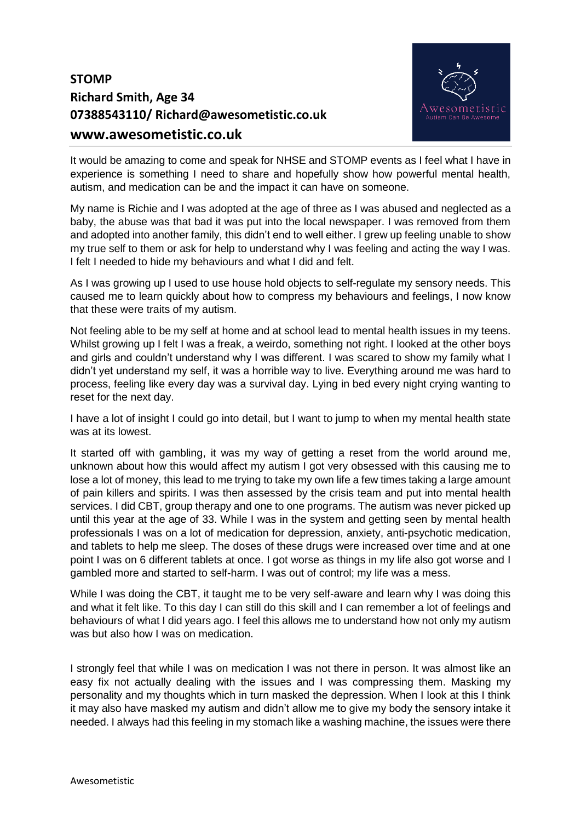## **STOMP Richard Smith, Age 34 07388543110/ Richard@awesometistic.co.uk www.awesometistic.co.uk**



It would be amazing to come and speak for NHSE and STOMP events as I feel what I have in experience is something I need to share and hopefully show how powerful mental health, autism, and medication can be and the impact it can have on someone.

My name is Richie and I was adopted at the age of three as I was abused and neglected as a baby, the abuse was that bad it was put into the local newspaper. I was removed from them and adopted into another family, this didn't end to well either. I grew up feeling unable to show my true self to them or ask for help to understand why I was feeling and acting the way I was. I felt I needed to hide my behaviours and what I did and felt.

As I was growing up I used to use house hold objects to self-regulate my sensory needs. This caused me to learn quickly about how to compress my behaviours and feelings, I now know that these were traits of my autism.

Not feeling able to be my self at home and at school lead to mental health issues in my teens. Whilst growing up I felt I was a freak, a weirdo, something not right. I looked at the other boys and girls and couldn't understand why I was different. I was scared to show my family what I didn't yet understand my self, it was a horrible way to live. Everything around me was hard to process, feeling like every day was a survival day. Lying in bed every night crying wanting to reset for the next day.

I have a lot of insight I could go into detail, but I want to jump to when my mental health state was at its lowest.

It started off with gambling, it was my way of getting a reset from the world around me, unknown about how this would affect my autism I got very obsessed with this causing me to lose a lot of money, this lead to me trying to take my own life a few times taking a large amount of pain killers and spirits. I was then assessed by the crisis team and put into mental health services. I did CBT, group therapy and one to one programs. The autism was never picked up until this year at the age of 33. While I was in the system and getting seen by mental health professionals I was on a lot of medication for depression, anxiety, anti-psychotic medication, and tablets to help me sleep. The doses of these drugs were increased over time and at one point I was on 6 different tablets at once. I got worse as things in my life also got worse and I gambled more and started to self-harm. I was out of control; my life was a mess.

While I was doing the CBT, it taught me to be very self-aware and learn why I was doing this and what it felt like. To this day I can still do this skill and I can remember a lot of feelings and behaviours of what I did years ago. I feel this allows me to understand how not only my autism was but also how I was on medication.

I strongly feel that while I was on medication I was not there in person. It was almost like an easy fix not actually dealing with the issues and I was compressing them. Masking my personality and my thoughts which in turn masked the depression. When I look at this I think it may also have masked my autism and didn't allow me to give my body the sensory intake it needed. I always had this feeling in my stomach like a washing machine, the issues were there